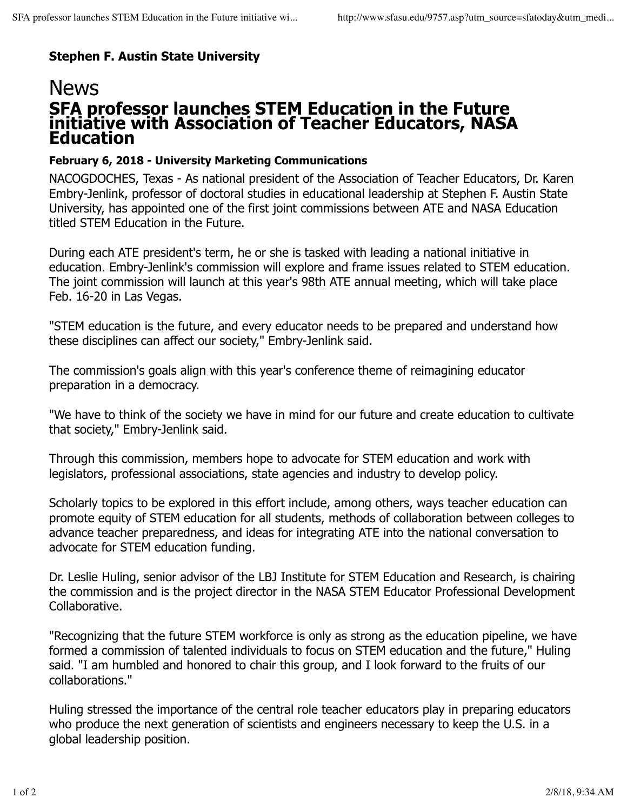## **Stephen F. Austin State University**

## **SFA professor launches STEM Education in the Future initiative with Association of Teacher Educators, NASA Education News**

## **February 6, 2018 - University Marketing Communications**

NACOGDOCHES, Texas - As national president of the Association of Teacher Educators, Dr. Karen Embry-Jenlink, professor of doctoral studies in educational leadership at Stephen F. Austin State University, has appointed one of the first joint commissions between ATE and NASA Education titled STEM Education in the Future.

During each ATE president's term, he or she is tasked with leading a national initiative in education. Embry-Jenlink's commission will explore and frame issues related to STEM education. The joint commission will launch at this year's 98th ATE annual meeting, which will take place Feb. 16-20 in Las Vegas.

"STEM education is the future, and every educator needs to be prepared and understand how these disciplines can affect our society," Embry-Jenlink said.

The commission's goals align with this year's conference theme of reimagining educator preparation in a democracy.

"We have to think of the society we have in mind for our future and create education to cultivate that society," Embry-Jenlink said.

Through this commission, members hope to advocate for STEM education and work with legislators, professional associations, state agencies and industry to develop policy.

Scholarly topics to be explored in this effort include, among others, ways teacher education can promote equity of STEM education for all students, methods of collaboration between colleges to advance teacher preparedness, and ideas for integrating ATE into the national conversation to advocate for STEM education funding.

Dr. Leslie Huling, senior advisor of the LBJ Institute for STEM Education and Research, is chairing the commission and is the project director in the NASA STEM Educator Professional Development Collaborative.

"Recognizing that the future STEM workforce is only as strong as the education pipeline, we have formed a commission of talented individuals to focus on STEM education and the future," Huling said. "I am humbled and honored to chair this group, and I look forward to the fruits of our collaborations."

Huling stressed the importance of the central role teacher educators play in preparing educators who produce the next generation of scientists and engineers necessary to keep the U.S. in a global leadership position.